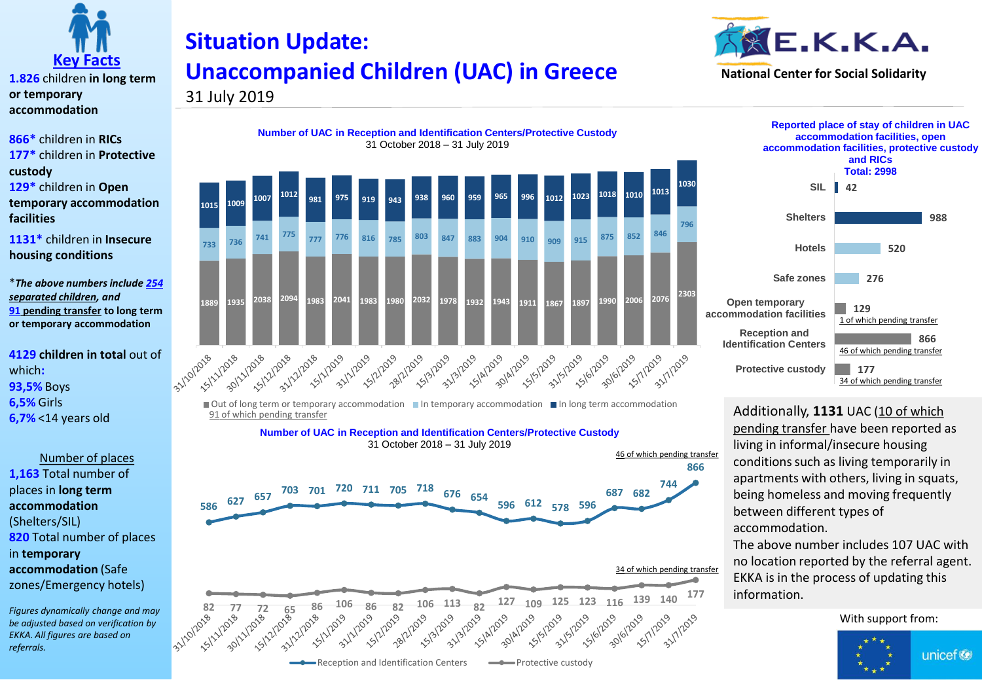

**1.826** children **in long term or temporary accommodation**

**866\*** children in **RICs 177\*** children in **Protective custody 129\*** children in **Open temporary accommodation facilities**

**1131\*** children in **Insecure housing conditions**

\**The above numbers include 254 separated children, and*  **91 pending transfer to long term or temporary accommodation**

**4129 children in total** out of which**: 93,5%** Boys **6,5%** Girls **6,7%** <14 years old

Number of places **1,163** Total number of places in **long term accommodation**  (Shelters/SIL) **820** Total number of places in **temporary accommodation** (Safe zones/Emergency hotels)

*Figures dynamically change and may be adjusted based on verification by EKKA. All figures are based on referrals.* 

## **Situation Update: Unaccompanied Children (UAC) in Greece**













Additionally, **1131** UAC (10 of which pending transfer have been reported as living in informal/insecure housing conditions such as living temporarily in apartments with others, living in squats, being homeless and moving frequently between different types of accommodation.

The above number includes 107 UAC with no location reported by the referral agent. EKKA is in the process of updating this information.

With support from:

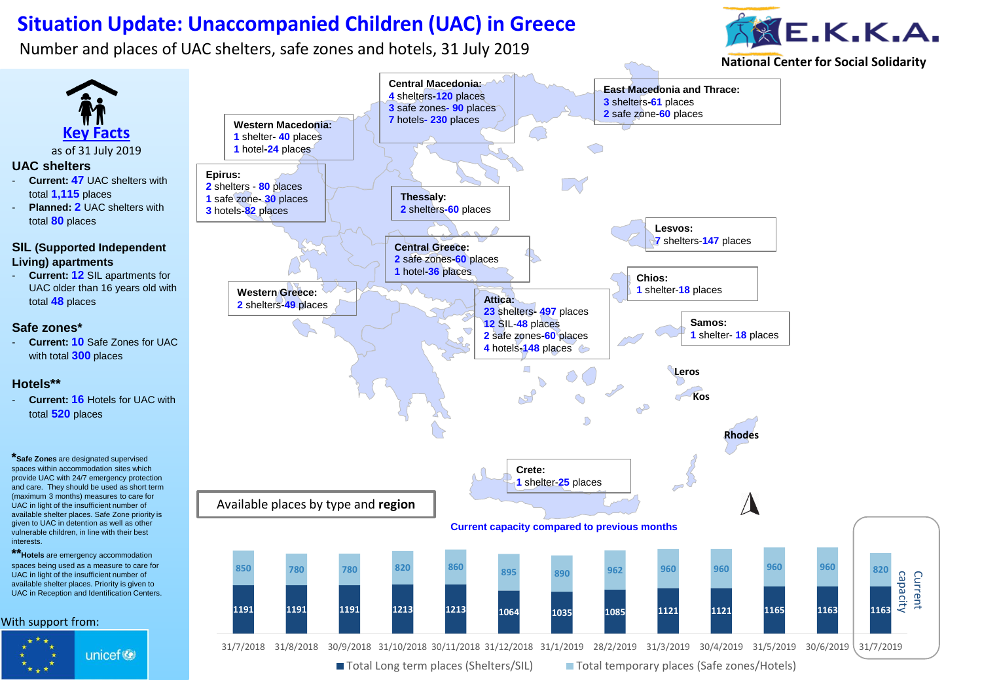## **Situation Update: Unaccompanied Children (UAC) in Greece**

Number and places of UAC shelters, safe zones and hotels, 31 July 2019

interests.



**National Center for Social Solidarity**



■ Total Long term places (Shelters/SIL) ■ Total temporary places (Safe zones/Hotels)